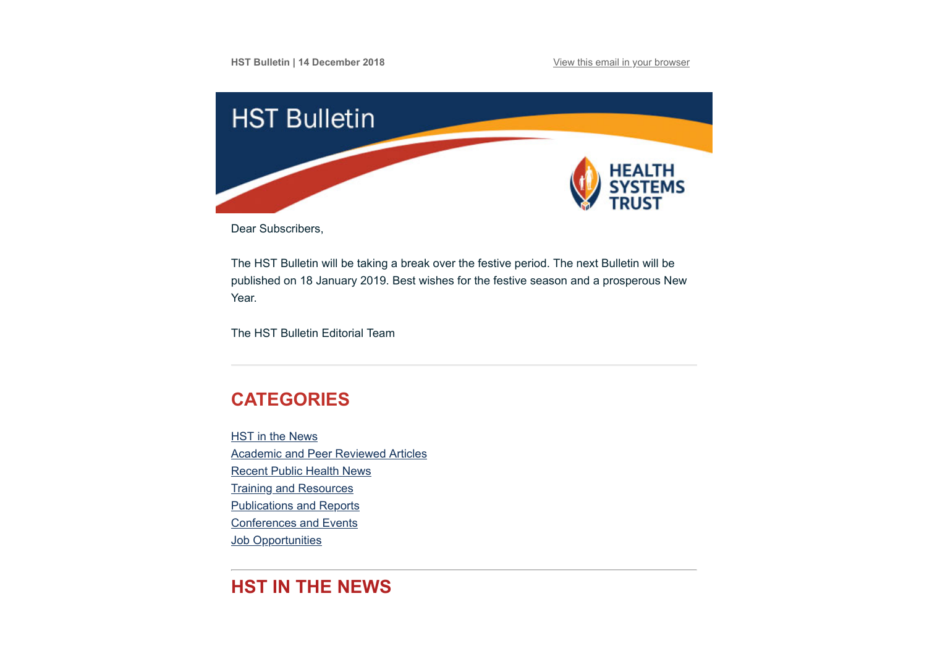

Dear Subscribers,

The HST Bulletin will be taking a break over the festive period. The next Bulletin will be published on 18 January 2019. Best wishes for the festive season and a prosperous New Year.

The HST Bulletin Editorial Team

# <span id="page-0-0"></span>**CATEGORIES**

HST in the News [Academic and Peer Reviewed Articles](#page-1-0) [Recent Public Health News](#page-3-0) **[Training and Resources](#page-4-0)** [Publications and Reports](#page-4-1) [Conferences and Events](#page-5-0) **Job Opportunities** 

# **HST IN THE NEWS**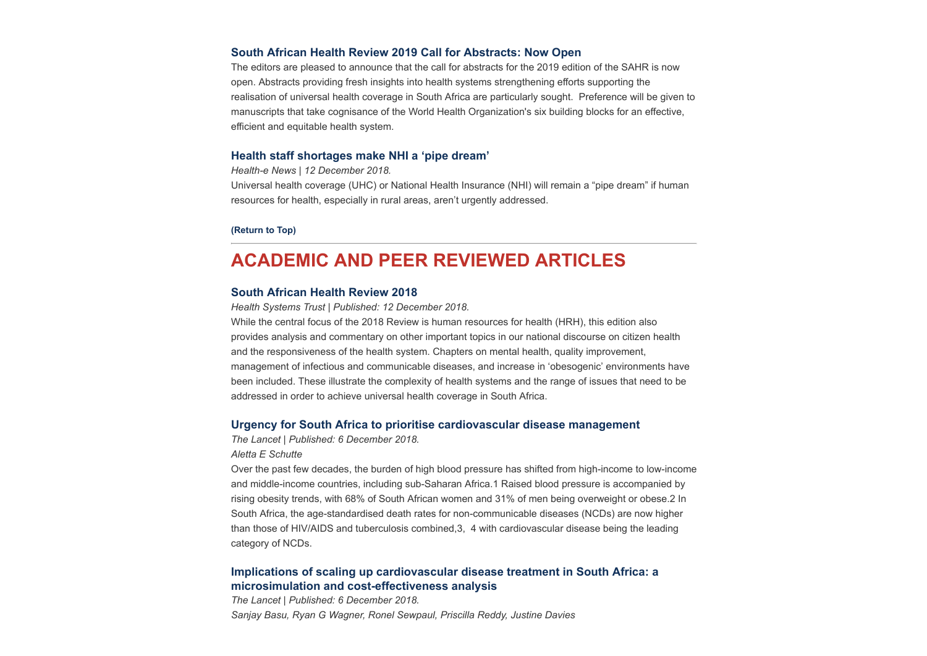#### **[South African Health Review 2019 Call for Abstracts: Now Open](http://www.hst.org.za/media/Pages/SAHR-2019-Call-for-Abstracts.aspx)**

The editors are pleased to announce that the call for abstracts for the 2019 edition of the SAHR is now open. Abstracts providing fresh insights into health systems strengthening efforts supporting the realisation of universal health coverage in South Africa are particularly sought. Preference will be given to manuscripts that take cognisance of the World Health Organization's six building blocks for an effective, efficient and equitable health system.

#### **[Health staff shortages make NHI a 'pipe dream'](https://www.health-e.org.za/2018/12/12/health-staff-shortages-make-nhi-a-pipedream/)**

*Health-e News | 12 December 2018.*

Universal health coverage (UHC) or National Health Insurance (NHI) will remain a "pipe dream" if human resources for health, especially in rural areas, aren't urgently addressed.

**[\(Return to Top\)](#page-0-0)**

## <span id="page-1-0"></span>**ACADEMIC AND PEER REVIEWED ARTICLES**

#### **[South African Health Review 2018](http://www.hst.org.za/publications/South%20African%20Health%20Reviews/SAHR%202018.pdf)**

*Health Systems Trust | Published: 12 December 2018.*

While the central focus of the 2018 Review is human resources for health (HRH), this edition also provides analysis and commentary on other important topics in our national discourse on citizen health and the responsiveness of the health system. Chapters on mental health, quality improvement, management of infectious and communicable diseases, and increase in 'obesogenic' environments have been included. These illustrate the complexity of health systems and the range of issues that need to be addressed in order to achieve universal health coverage in South Africa.

#### **[Urgency for South Africa to prioritise cardiovascular disease management](https://www.thelancet.com/journals/langlo/article/PIIS2214-109X(18)30476-5/fulltext?utm_source=Global+Health+NOW+Main+List&utm_campaign=4f44c3a7b9-EMAIL_CAMPAIGN_2018_12_06_02_28&utm_medium=email&utm_term=0_8d0d062dbd-4f44c3a7b9-2811001)**

*The Lancet | Published: 6 December 2018.*

#### *Aletta E Schutte*

Over the past few decades, the burden of high blood pressure has shifted from high-income to low-income and middle-income countries, including sub-Saharan Africa.1 Raised blood pressure is accompanied by rising obesity trends, with 68% of South African women and 31% of men being overweight or obese.2 In South Africa, the age-standardised death rates for non-communicable diseases (NCDs) are now higher than those of HIV/AIDS and tuberculosis combined,3, 4 with cardiovascular disease being the leading category of NCDs.

### **[Implications of scaling up cardiovascular disease treatment in South Africa: a](https://www.thelancet.com/journals/langlo/article/PIIS2214-109X(18)30450-9/fulltext) microsimulation and cost-effectiveness analysis**

*The Lancet | Published: 6 December 2018. Sanjay Basu, Ryan G Wagner, Ronel Sewpaul, Priscilla Reddy, Justine Davies*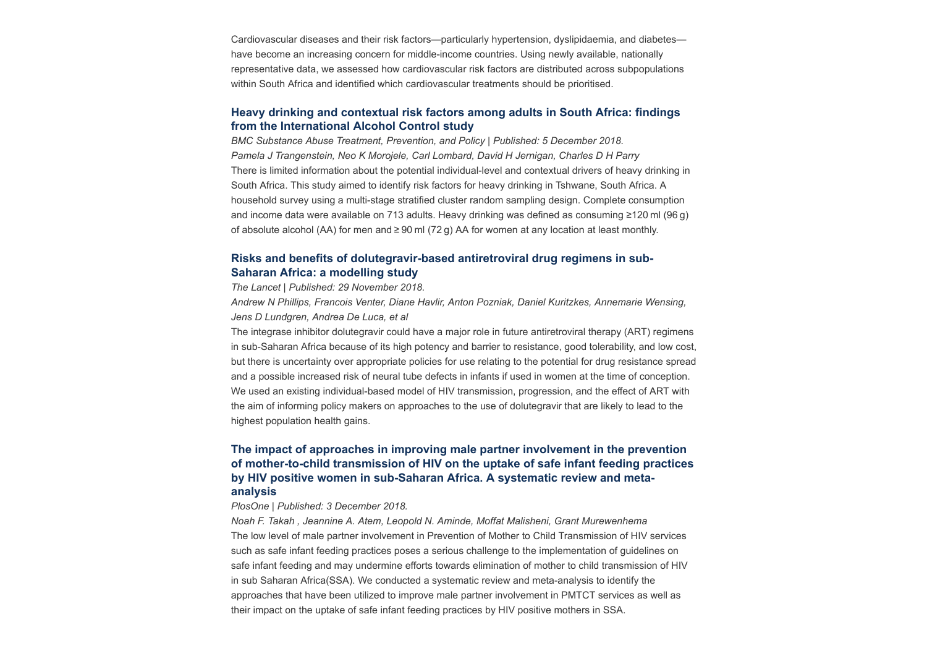Cardiovascular diseases and their risk factors—particularly hypertension, dyslipidaemia, and diabetes have become an increasing concern for middle-income countries. Using newly available, nationally representative data, we assessed how cardiovascular risk factors are distributed across subpopulations within South Africa and identified which cardiovascular treatments should be prioritised.

### **[Heavy drinking and contextual risk factors among adults in South Africa: findings](https://substanceabusepolicy.biomedcentral.com/articles/10.1186/s13011-018-0182-1) from the International Alcohol Control study**

*BMC Substance Abuse Treatment, Prevention, and Policy | Published: 5 December 2018. Pamela J Trangenstein, Neo K Morojele, Carl Lombard, David H Jernigan, Charles D H Parry* There is limited information about the potential individual-level and contextual drivers of heavy drinking in South Africa. This study aimed to identify risk factors for heavy drinking in Tshwane, South Africa. A household survey using a multi-stage stratified cluster random sampling design. Complete consumption and income data were available on 713 adults. Heavy drinking was defined as consuming ≥120 ml (96 g) of absolute alcohol (AA) for men and ≥ 90 ml (72 g) AA for women at any location at least monthly.

## **[Risks and benefits of dolutegravir-based antiretroviral drug regimens in sub-](https://www.thelancet.com/journals/lanhiv/article/PIIS2352-3018(18)30317-5/fulltext)Saharan Africa: a modelling study**

*The Lancet | Published: 29 November 2018.*

*Andrew N Phillips, Francois Venter, Diane Havlir, Anton Pozniak, Daniel Kuritzkes, Annemarie Wensing, Jens D Lundgren, Andrea De Luca, et al*

The integrase inhibitor dolutegravir could have a major role in future antiretroviral therapy (ART) regimens in sub-Saharan Africa because of its high potency and barrier to resistance, good tolerability, and low cost, but there is uncertainty over appropriate policies for use relating to the potential for drug resistance spread and a possible increased risk of neural tube defects in infants if used in women at the time of conception. We used an existing individual-based model of HIV transmission, progression, and the effect of ART with the aim of informing policy makers on approaches to the use of dolutegravir that are likely to lead to the highest population health gains.

## **The impact of approaches in improving male partner involvement in the prevention [of mother-to-child transmission of HIV on the uptake of safe infant feeding practices](https://journals.plos.org/plosone/article?id=10.1371/journal.pone.0207060) by HIV positive women in sub-Saharan Africa. A systematic review and metaanalysis**

#### *PlosOne | Published: 3 December 2018.*

*Noah F. Takah , Jeannine A. Atem, Leopold N. Aminde, Moffat Malisheni, Grant Murewenhema* The low level of male partner involvement in Prevention of Mother to Child Transmission of HIV services such as safe infant feeding practices poses a serious challenge to the implementation of guidelines on safe infant feeding and may undermine efforts towards elimination of mother to child transmission of HIV in sub Saharan Africa(SSA). We conducted a systematic review and meta-analysis to identify the approaches that have been utilized to improve male partner involvement in PMTCT services as well as their impact on the uptake of safe infant feeding practices by HIV positive mothers in SSA.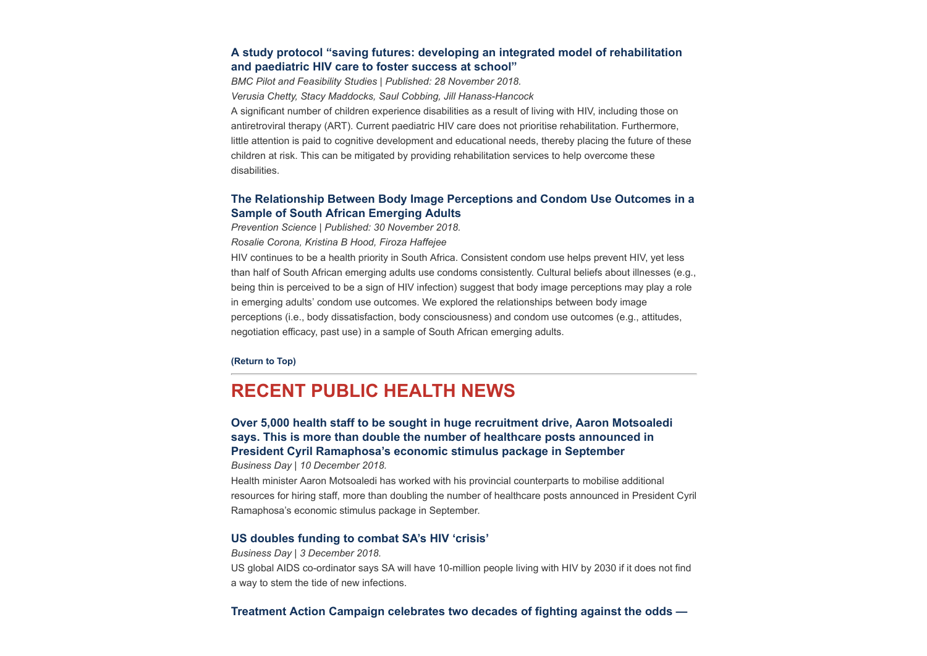### **[A study protocol "saving futures: developing an integrated model of rehabilitation](https://pilotfeasibilitystudies.biomedcentral.com/articles/10.1186/s40814-018-0372-7) and paediatric HIV care to foster success at school"**

*BMC Pilot and Feasibility Studies | Published: 28 November 2018. Verusia Chetty, Stacy Maddocks, Saul Cobbing, Jill Hanass-Hancock* A significant number of children experience disabilities as a result of living with HIV, including those on antiretroviral therapy (ART). Current paediatric HIV care does not prioritise rehabilitation. Furthermore, little attention is paid to cognitive development and educational needs, thereby placing the future of these children at risk. This can be mitigated by providing rehabilitation services to help overcome these disabilities.

### **[The Relationship Between Body Image Perceptions and Condom Use Outcomes in a](https://link.springer.com/article/10.1007%2Fs11121-018-0957-7) Sample of South African Emerging Adults**

*Prevention Science | Published: 30 November 2018.*

*Rosalie Corona, Kristina B Hood, Firoza Haffejee*

HIV continues to be a health priority in South Africa. Consistent condom use helps prevent HIV, yet less than half of South African emerging adults use condoms consistently. Cultural beliefs about illnesses (e.g., being thin is perceived to be a sign of HIV infection) suggest that body image perceptions may play a role in emerging adults' condom use outcomes. We explored the relationships between body image perceptions (i.e., body dissatisfaction, body consciousness) and condom use outcomes (e.g., attitudes, negotiation efficacy, past use) in a sample of South African emerging adults.

#### **[\(Return to Top\)](#page-0-0)**

## <span id="page-3-0"></span>**RECENT PUBLIC HEALTH NEWS**

## **[Over 5,000 health staff to be sought in huge recruitment drive, Aaron Motsoaledi](https://www.businesslive.co.za/bd/national/health/2018-12-10-over-5000-health-staff-to-be-sought-in-huge-recruitment-drive-aaron-motsoaledi-says/) says. This is more than double the number of healthcare posts announced in President Cyril Ramaphosa's economic stimulus package in September**

*Business Day | 10 December 2018.*

Health minister Aaron Motsoaledi has worked with his provincial counterparts to mobilise additional resources for hiring staff, more than doubling the number of healthcare posts announced in President Cyril Ramaphosa's economic stimulus package in September.

#### **[US doubles funding to combat SA's HIV 'crisis'](https://www.businesslive.co.za/bd/national/health/2018-12-03-us-doubles-funding-to-combat-sas-hiv-crisis/)**

*Business Day | 3 December 2018.* US global AIDS co-ordinator says SA will have 10-million people living with HIV by 2030 if it does not find a way to stem the tide of new infections.

**[Treatment Action Campaign celebrates two decades of fighting against the odds —](https://www.dailymaverick.co.za/article/2018-12-07-treatment-action-campaign-celebrates-two-decades-of-fighting-against-the-odds-and-winning/)**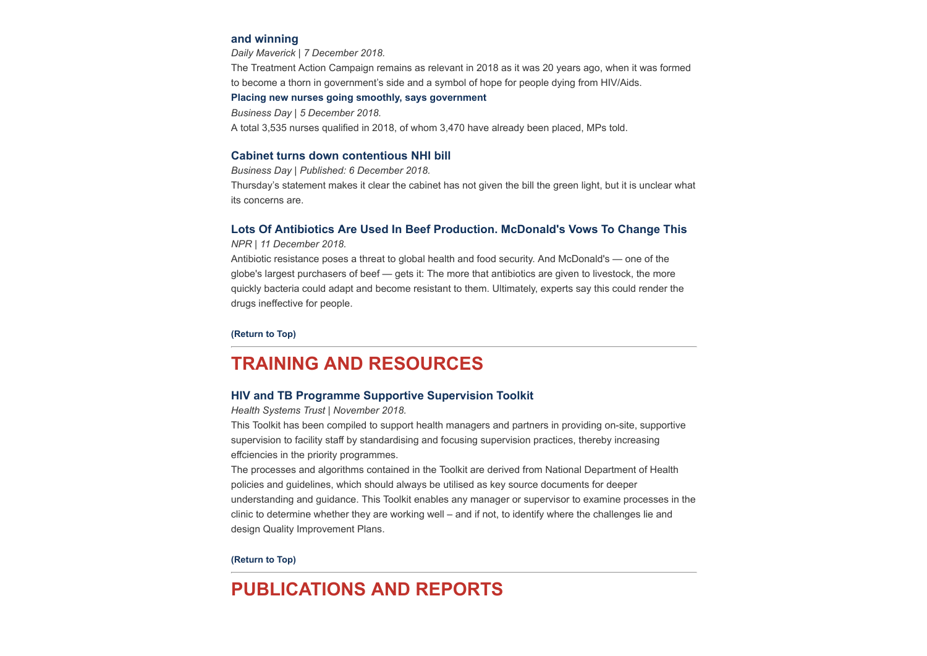#### **[and winning](https://www.dailymaverick.co.za/article/2018-12-07-treatment-action-campaign-celebrates-two-decades-of-fighting-against-the-odds-and-winning/)**

*Daily Maverick | 7 December 2018.*

The Treatment Action Campaign remains as relevant in 2018 as it was 20 years ago, when it was formed to become a thorn in government's side and a symbol of hope for people dying from HIV/Aids.

#### **[Placing new nurses going smoothly, says government](https://www.businesslive.co.za/bd/national/health/2018-12-05-placing-new-nurses-going-smoothly-says-government/)**

*Business Day | 5 December 2018.*

A total 3,535 nurses qualified in 2018, of whom 3,470 have already been placed, MPs told.

#### **[Cabinet turns down contentious NHI bill](https://www.businesslive.co.za/bd/national/health/2018-12-06-the-mystery-of-the-status-of-the-nhi-bill/)**

*Business Day | Published: 6 December 2018.*

Thursday's statement makes it clear the cabinet has not given the bill the green light, but it is unclear what its concerns are.

#### **[Lots Of Antibiotics Are Used In Beef Production. McDonald's Vows To Change This](https://www.npr.org/sections/thesalt/2018/12/11/675559302/there-are-lots-of-antibiotics-in-the-beef-supply-mcdonalds-vows-to-change-this?utm_source=Global+Health+NOW+Main+List&utm_campaign=d48225c374-EMAIL_CAMPAIGN_2018_12_11_01_18&utm_medium=email&utm_term=0_8d0d062dbd-d48225c374-2811001)**

*NPR | 11 December 2018.*

Antibiotic resistance poses a threat to global health and food security. And McDonald's — one of the globe's largest purchasers of beef — gets it: The more that antibiotics are given to livestock, the more quickly bacteria could adapt and become resistant to them. Ultimately, experts say this could render the drugs ineffective for people.

**[\(Return to Top\)](#page-0-0)**

## <span id="page-4-0"></span>**TRAINING AND RESOURCES**

#### **[HIV and TB Programme Supportive Supervision Toolkit](http://www.hst.org.za/publications/HST%20Publications/HST%20HIV%20%20TB%20A4%20Toolkit%20Web.pdf)**

*Health Systems Trust | November 2018.*

This Toolkit has been compiled to support health managers and partners in providing on-site, supportive supervision to facility staff by standardising and focusing supervision practices, thereby increasing effciencies in the priority programmes.

The processes and algorithms contained in the Toolkit are derived from National Department of Health policies and guidelines, which should always be utilised as key source documents for deeper understanding and guidance. This Toolkit enables any manager or supervisor to examine processes in the clinic to determine whether they are working well – and if not, to identify where the challenges lie and design Quality Improvement Plans.

#### **[\(Return to Top\)](#page-0-0)**

## <span id="page-4-1"></span>**PUBLICATIONS AND REPORTS**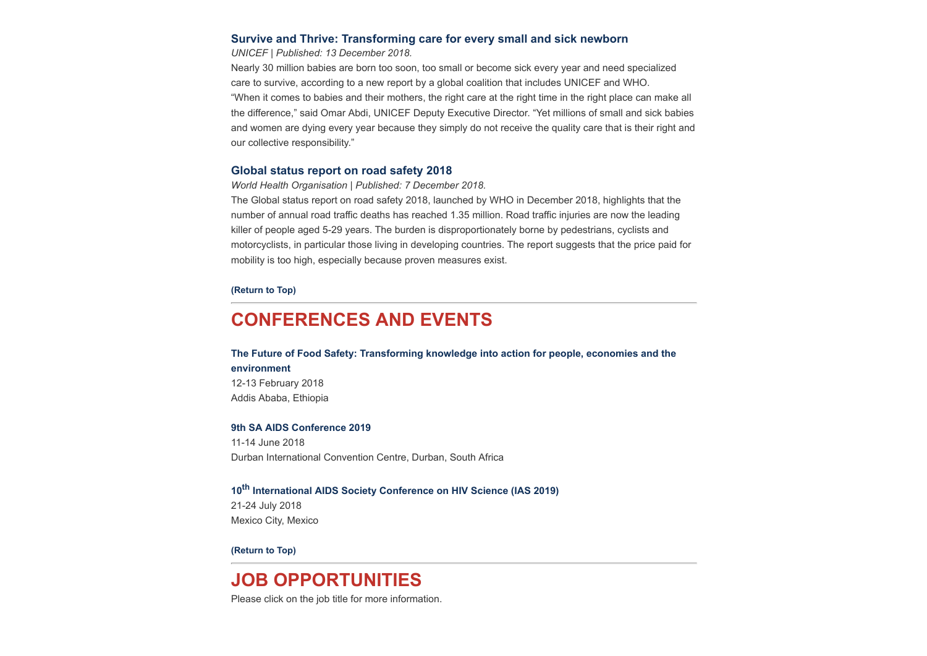#### **[Survive and Thrive: Transforming care for every small and sick newborn](http://www.hst.org.za/publications/NonHST%20Publications/Survive%20and%20Thrive%20-%20Transforming%20care%20for%20every%20small%20and%20sick%20newborn.pdf)**

*UNICEF | Published: 13 December 2018.*

Nearly 30 million babies are born too soon, too small or become sick every year and need specialized care to survive, according to a new report by a global coalition that includes UNICEF and WHO. "When it comes to babies and their mothers, the right care at the right time in the right place can make all the difference," said Omar Abdi, UNICEF Deputy Executive Director. "Yet millions of small and sick babies and women are dying every year because they simply do not receive the quality care that is their right and our collective responsibility."

#### **[Global status report on road safety 2018](https://www.who.int/violence_injury_prevention/road_safety_status/2018/en/)**

*World Health Organisation | Published: 7 December 2018.*

The Global status report on road safety 2018, launched by WHO in December 2018, highlights that the number of annual road traffic deaths has reached 1.35 million. Road traffic injuries are now the leading killer of people aged 5-29 years. The burden is disproportionately borne by pedestrians, cyclists and motorcyclists, in particular those living in developing countries. The report suggests that the price paid for mobility is too high, especially because proven measures exist.

**[\(Return to Top\)](#page-0-0)**

# <span id="page-5-0"></span>**CONFERENCES AND EVENTS**

**[The Future of Food Safety: Transforming knowledge into action for people, economies and the](http://www.who.int/news-room/events/detail/2019/02/12/default-calendar/the-first-fao-who-au-international-conference-on-food-safety) environment** 12-13 February 2018 Addis Ababa, Ethiopia

#### **[9th SA AIDS Conference 2019](https://www.saaids.co.za/)**

11-14 June 2018 Durban International Convention Centre, Durban, South Africa

## **10th [International AIDS Society Conference on HIV Science \(IAS 2019\)](http://www.ias2019.org/)**

21-24 July 2018 Mexico City, Mexico

**[\(Return to Top\)](#page-0-0)**

# **JOB OPPORTUNITIES**

Please click on the job title for more information.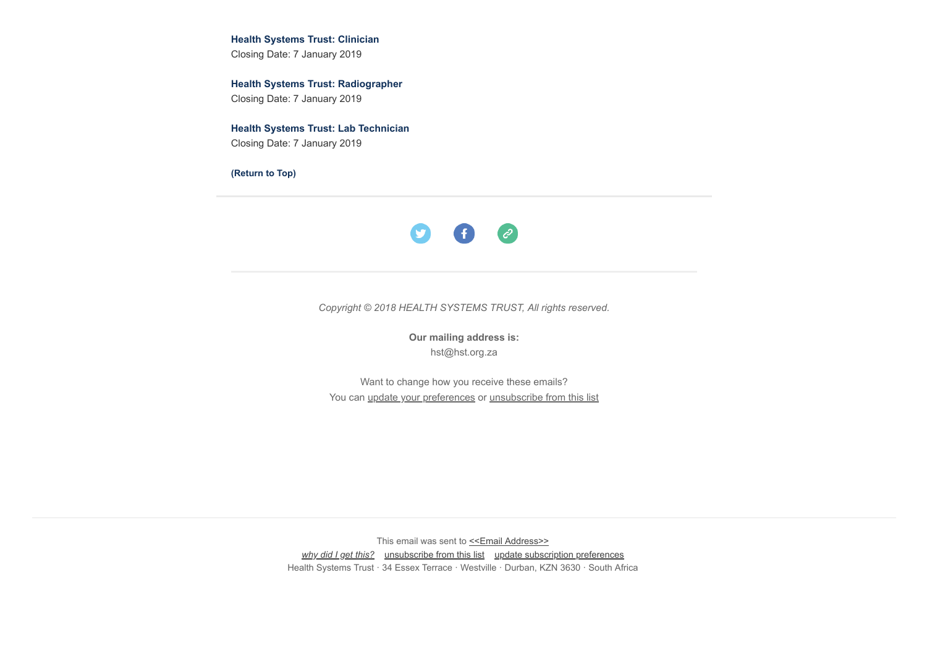**[Health Systems Trust: Clinician](http://www.hst.org.za/Pages/Clinician.aspx)** Closing Date: 7 January 2019

**[Health Systems Trust: Radiographer](http://www.hst.org.za/Pages/Radiographer.aspx)** Closing Date: 7 January 2019

**[Health Systems Trust: Lab Technician](http://www.hst.org.za/Pages/Radiographer.aspx)**  Closing Date: 7 January 2019

**[\(Return to Top\)](#page-0-0)**



*Copyright © 2018 HEALTH SYSTEMS TRUST, All rights reserved.*

**Our mailing address is:** hst@hst.org.za

Want to change how you receive these emails? You can [update your preferences](https://hst.us14.list-manage.com/profile?u=72d7614ab973e486252cafb97&id=ac4ca52ce0&e=[UNIQID]) or [unsubscribe from this list](https://hst.us14.list-manage.com/unsubscribe?u=72d7614ab973e486252cafb97&id=ac4ca52ce0&e=[UNIQID]&c=92e6e639b6)

This email was sent to << Email Address>> *[why did I get this?](https://hst.us14.list-manage.com/about?u=72d7614ab973e486252cafb97&id=ac4ca52ce0&e=[UNIQID]&c=92e6e639b6)* [unsubscribe from this list](https://hst.us14.list-manage.com/unsubscribe?u=72d7614ab973e486252cafb97&id=ac4ca52ce0&e=[UNIQID]&c=92e6e639b6) [update subscription preferences](https://hst.us14.list-manage.com/profile?u=72d7614ab973e486252cafb97&id=ac4ca52ce0&e=[UNIQID]) Health Systems Trust · 34 Essex Terrace · Westville · Durban, KZN 3630 · South Africa